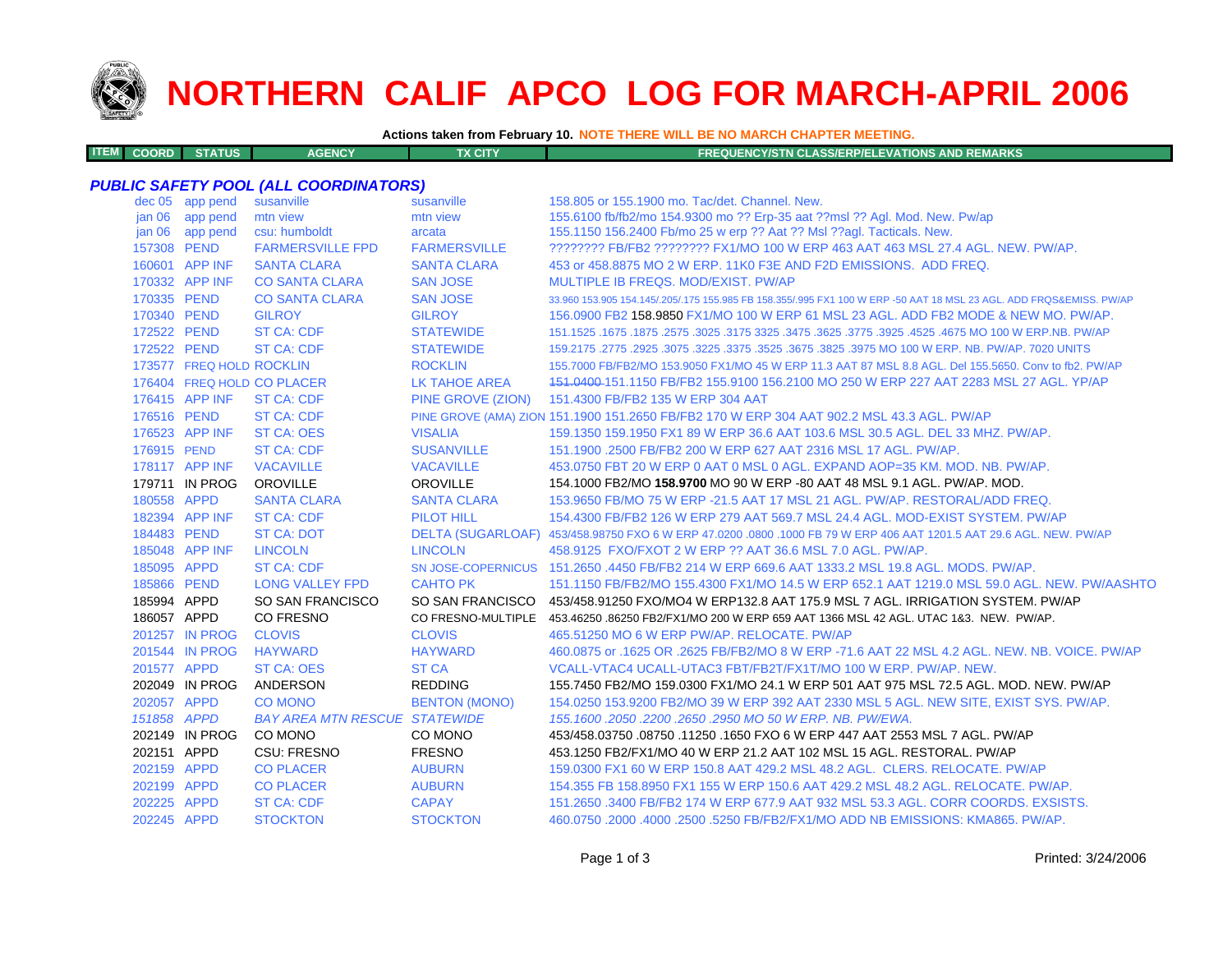

**ITEM**

## **NORTHERN CALIF APCO LOG FOR MARCH-APRIL 2006**

**Actions taken from February 10. NOTE THERE WILL BE NO MARCH CHAPTER MEETING.**

| <b>M COORD STATUS</b><br><b>FX CITY</b><br><b>AGENCY</b><br><b>FREQUENCY/STN CLASS/ERP/ELEVATIONS AND REMARKS</b> |  |
|-------------------------------------------------------------------------------------------------------------------|--|
|-------------------------------------------------------------------------------------------------------------------|--|

## *PUBLIC SAFETY POOL (ALL COORDINATORS)*

|                   | dec 05 app pend          | susanville                           | susanville           | 158.805 or 155.1900 mo. Tac/det. Channel. New.                                                                      |
|-------------------|--------------------------|--------------------------------------|----------------------|---------------------------------------------------------------------------------------------------------------------|
| jan 06            | app pend                 | mtn view                             | mtn view             | 155.6100 fb/fb2/mo 154.9300 mo ?? Erp-35 aat ??msl ?? Agl. Mod. New. Pw/ap                                          |
| jan <sub>06</sub> | app pend                 | csu: humboldt                        | arcata               | 155.1150 156.2400 Fb/mo 25 w erp ?? Aat ?? Msl ??aql. Tacticals. New.                                               |
| 157308 PEND       |                          | <b>FARMERSVILLE FPD</b>              | <b>FARMERSVILLE</b>  | ???????? FB/FB2 ???????? FX1/MO 100 W ERP 463 AAT 463 MSL 27.4 AGL, NEW, PW/AP,                                     |
|                   | 160601 APP INF           | <b>SANTA CLARA</b>                   | <b>SANTA CLARA</b>   | 453 or 458,8875 MO 2 W ERP, 11K0 F3E AND F2D EMISSIONS. ADD FREQ.                                                   |
|                   | 170332 APP INF           | <b>CO SANTA CLARA</b>                | <b>SAN JOSE</b>      | MULTIPLE IB FREQS, MOD/EXIST, PW/AP                                                                                 |
| 170335 PEND       |                          | <b>CO SANTA CLARA</b>                | <b>SAN JOSE</b>      | 33,960 153,905 154,145/.205/.175 155,985 FB 158,355/.995 FX1 100 W ERP -50 AAT 18 MSL 23 AGL. ADD FRQS&EMISS, PW/AP |
| 170340 PEND       |                          | <b>GILROY</b>                        | <b>GILROY</b>        | 156,0900 FB2 158,9850 FX1/MO 100 W ERP 61 MSL 23 AGL, ADD FB2 MODE & NEW MO, PW/AP.                                 |
| 172522 PEND       |                          | <b>ST CA: CDF</b>                    | <b>STATEWIDE</b>     | .4675, 1675 1675 1679. 1675 1674. 1625. 1775. 1775. 18625. 1875. 1875. 1875. 1875. 1875. 1875. 1675. 1675. 16       |
| 172522 PEND       |                          | <b>ST CA: CDF</b>                    | <b>STATEWIDE</b>     | 159.2175 .2775 .2925 .3075 .3225 .3375 .3525 .3675 .3825 .3975 MO 100 W ERP, NB, PW/AP, 7020 UNITS                  |
|                   | 173577 FREQ HOLD ROCKLIN |                                      | <b>ROCKLIN</b>       | 155.7000 FB/FB2/MO 153.9050 FX1/MO 45 W ERP 11.3 AAT 87 MSL 8.8 AGL. Del 155.5650. Conv to fb2. PW/AP               |
|                   |                          | 176404 FREQ HOLD CO PLACER           | LK TAHOE AREA        | 151,0400-151,1150 FB/FB2 155,9100 156,2100 MO 250 W ERP 227 AAT 2283 MSL 27 AGL, YP/AP                              |
|                   | 176415 APP INF           | <b>ST CA: CDF</b>                    |                      | PINE GROVE (ZION) 151.4300 FB/FB2 135 W ERP 304 AAT                                                                 |
| 176516 PEND       |                          | <b>ST CA: CDF</b>                    |                      | PINE GROVE (AMA) ZION 151.1900 151.2650 FB/FB2 170 W ERP 304 AAT 902.2 MSL 43.3 AGL. PW/AP                          |
|                   | 176523 APP INF           | <b>ST CA: OES</b>                    | <b>VISALIA</b>       | 159.1350 159.1950 FX1 89 W ERP 36.6 AAT 103.6 MSL 30.5 AGL. DEL 33 MHZ. PW/AP.                                      |
| 176915 PEND       |                          | <b>ST CA: CDF</b>                    | <b>SUSANVILLE</b>    | 151.1900 .2500 FB/FB2 200 W ERP 627 AAT 2316 MSL 17 AGL, PW/AP.                                                     |
|                   | 178117 APP INF           | <b>VACAVILLE</b>                     | <b>VACAVILLE</b>     | 453.0750 FBT 20 W ERP 0 AAT 0 MSL 0 AGL, EXPAND AOP=35 KM, MOD, NB, PW/AP,                                          |
|                   | 179711 IN PROG           | OROVILLE                             | <b>OROVILLE</b>      | 154.1000 FB2/MO 158.9700 MO 90 W ERP -80 AAT 48 MSL 9.1 AGL, PW/AP, MOD,                                            |
| 180558 APPD       |                          | <b>SANTA CLARA</b>                   | <b>SANTA CLARA</b>   | 153,9650 FB/MO 75 W ERP -21.5 AAT 17 MSL 21 AGL, PW/AP, RESTORAL/ADD FREQ.                                          |
|                   | 182394 APP INF           | <b>ST CA: CDF</b>                    | <b>PILOT HILL</b>    | 154.4300 FB/FB2 126 W ERP 279 AAT 569.7 MSL 24.4 AGL, MOD-EXIST SYSTEM, PW/AP                                       |
| 184483 PEND       |                          | <b>ST CA: DOT</b>                    |                      | DELTA (SUGARLOAF) 453/458.98750 FXO 6 W ERP 47.0200 .0800 .1000 FB 79 W ERP 406 AAT 1201.5 AAT 29.6 AGL. NEW, PW/AP |
|                   | 185048 APP INF           | <b>LINCOLN</b>                       | <b>LINCOLN</b>       | 458.9125 FXO/FXOT 2 W ERP ?? AAT 36.6 MSL 7.0 AGL, PW/AP.                                                           |
| 185095 APPD       |                          | <b>ST CA: CDF</b>                    |                      | SN JOSE-COPERNICUS 151,2650,4450 FB/FB2 214 W ERP 669.6 AAT 1333.2 MSL 19.8 AGL, MODS, PW/AP.                       |
| 185866 PEND       |                          | <b>LONG VALLEY FPD</b>               | <b>CAHTO PK</b>      | 151.1150 FB/FB2/MO 155.4300 FX1/MO 14.5 W ERP 652.1 AAT 1219.0 MSL 59.0 AGL. NEW. PW/AASHTO                         |
| 185994 APPD       |                          | SO SAN FRANCISCO                     |                      | SO SAN FRANCISCO 453/458.91250 FXO/MO4 W ERP132.8 AAT 175.9 MSL 7 AGL. IRRIGATION SYSTEM. PW/AP                     |
| 186057 APPD       |                          | <b>CO FRESNO</b>                     |                      | CO FRESNO-MULTIPLE 453.46250.86250 FB2/FX1/MO 200 W ERP 659 AAT 1366 MSL 42 AGL. UTAC 1&3. NEW. PW/AP.              |
|                   | 201257 IN PROG           | <b>CLOVIS</b>                        | <b>CLOVIS</b>        | 465.51250 MO 6 W ERP PW/AP, RELOCATE, PW/AP                                                                         |
|                   | 201544 IN PROG           | <b>HAYWARD</b>                       | <b>HAYWARD</b>       | 460,0875 or .1625 OR .2625 FB/FB2/MO 8 W ERP -71.6 AAT 22 MSL 4.2 AGL, NEW, NB, VOICE, PW/AP                        |
| 201577 APPD       |                          | <b>ST CA: OES</b>                    | <b>ST CA</b>         | VCALL-VTAC4 UCALL-UTAC3 FBT/FB2T/FX1T/MO 100 W ERP. PW/AP. NEW.                                                     |
|                   | 202049 IN PROG           | ANDERSON                             | <b>REDDING</b>       | 155.7450 FB2/MO 159.0300 FX1/MO 24.1 W ERP 501 AAT 975 MSL 72.5 AGL. MOD. NEW. PW/AP                                |
| 202057 APPD       |                          | <b>CO MONO</b>                       | <b>BENTON (MONO)</b> | 154.0250 153.9200 FB2/MO 39 W ERP 392 AAT 2330 MSL 5 AGL. NEW SITE, EXIST SYS. PW/AP.                               |
| 151858 APPD       |                          | <b>BAY AREA MTN RESCUE STATEWIDE</b> |                      | 155, 1600, 2050, 2200, 2650, 2950 MO 50 W ERP, NB, PW/EWA,                                                          |
|                   | 202149 IN PROG           | CO MONO                              | CO MONO              | 453/458.03750 .08750 .11250 .1650 FXO 6 W ERP 447 AAT 2553 MSL 7 AGL. PW/AP                                         |
| 202151 APPD       |                          | <b>CSU: FRESNO</b>                   | <b>FRESNO</b>        | 453.1250 FB2/FX1/MO 40 W ERP 21.2 AAT 102 MSL 15 AGL. RESTORAL. PW/AP                                               |
| 202159 APPD       |                          | <b>CO PLACER</b>                     | <b>AUBURN</b>        | 159,0300 FX1 60 W ERP 150.8 AAT 429.2 MSL 48.2 AGL. CLERS, RELOCATE, PW/AP                                          |
| 202199 APPD       |                          | <b>CO PLACER</b>                     | <b>AUBURN</b>        | 154,355 FB 158,8950 FX1 155 W ERP 150.6 AAT 429.2 MSL 48.2 AGL, RELOCATE, PW/AP.                                    |
| 202225 APPD       |                          | <b>ST CA: CDF</b>                    | <b>CAPAY</b>         | 151.2650 .3400 FB/FB2 174 W ERP 677.9 AAT 932 MSL 53.3 AGL, CORR COORDS, EXSISTS.                                   |
| 202245 APPD       |                          | <b>STOCKTON</b>                      | <b>STOCKTON</b>      | 460.0750 .2000 .4000 .2500 .5250 FB/FB2/FX1/MO ADD NB EMISSIONS: KMA865, PW/AP,                                     |
|                   |                          |                                      |                      |                                                                                                                     |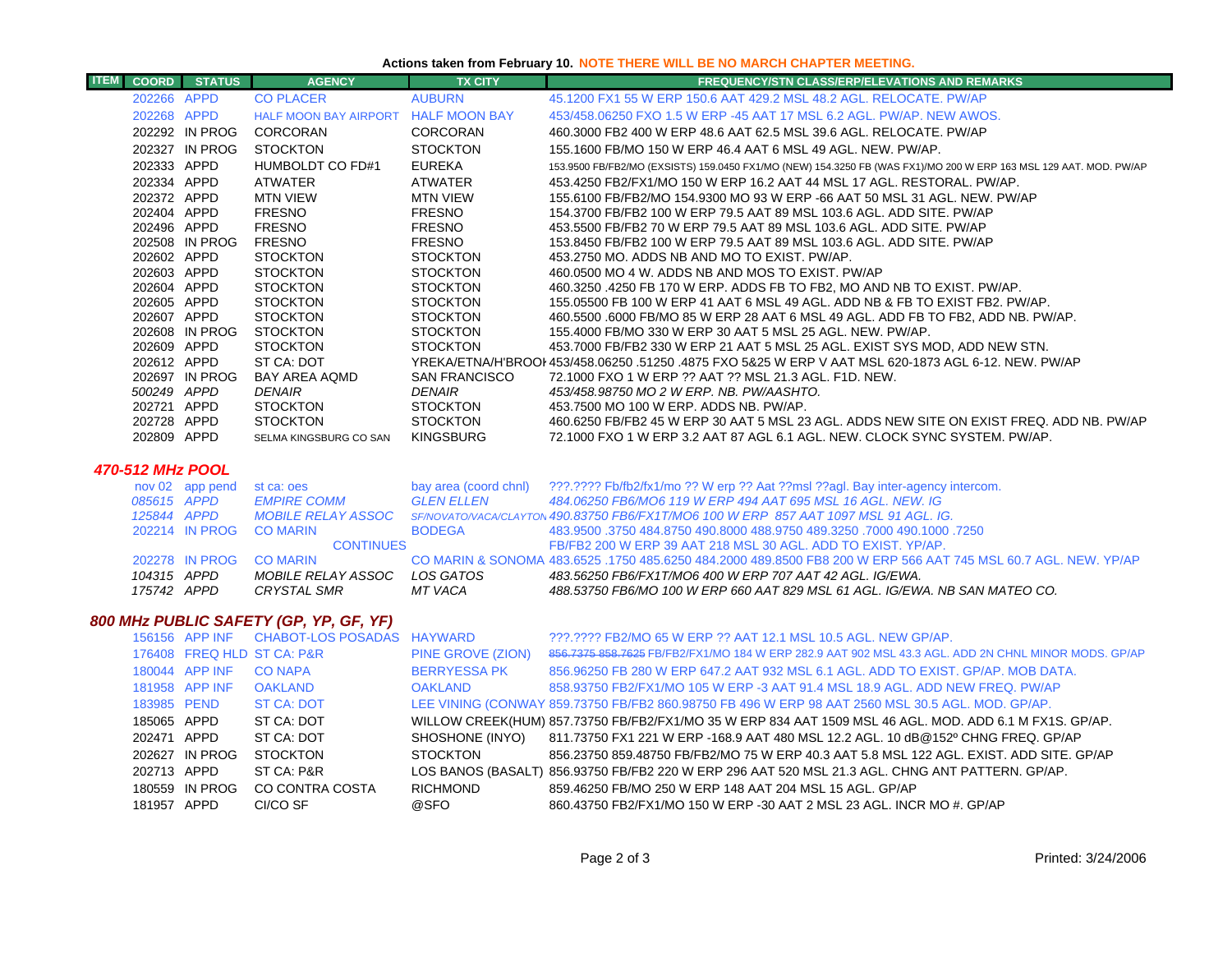## **Actions taken from February 10. NOTE THERE WILL BE NO MARCH CHAPTER MEETING.**

| <b>ITEM</b> | COORD                      | <b>STATUS</b>   | <b>AGENCY</b>                          | <b>TX CITY</b>                     | FREQUENCY/STN CLASS/ERP/ELEVATIONS AND REMARKS                                                                                                                                     |
|-------------|----------------------------|-----------------|----------------------------------------|------------------------------------|------------------------------------------------------------------------------------------------------------------------------------------------------------------------------------|
|             | 202266 APPD                |                 | <b>CO PLACER</b>                       | <b>AUBURN</b>                      | 45.1200 FX1 55 W ERP 150.6 AAT 429.2 MSL 48.2 AGL. RELOCATE. PW/AP                                                                                                                 |
|             | 202268 APPD                |                 | HALF MOON BAY AIRPORT HALF MOON BAY    |                                    | 453/458.06250 FXO 1.5 W ERP -45 AAT 17 MSL 6.2 AGL. PW/AP. NEW AWOS.                                                                                                               |
|             |                            | 202292 IN PROG  | CORCORAN                               | <b>CORCORAN</b>                    | 460.3000 FB2 400 W ERP 48.6 AAT 62.5 MSL 39.6 AGL. RELOCATE. PW/AP                                                                                                                 |
|             |                            | 202327 IN PROG  | <b>STOCKTON</b>                        | <b>STOCKTON</b>                    | 155.1600 FB/MO 150 W ERP 46.4 AAT 6 MSL 49 AGL. NEW. PW/AP.                                                                                                                        |
|             | 202333 APPD                |                 | HUMBOLDT CO FD#1                       | <b>EUREKA</b>                      | 153.9500 FB/FB2/MO (EXSISTS) 159.0450 FX1/MO (NEW) 154.3250 FB (WAS FX1)/MO 200 W ERP 163 MSL 129 AAT. MOD. PW/AP                                                                  |
|             | 202334 APPD                |                 | ATWATER                                | <b>ATWATER</b>                     | 453.4250 FB2/FX1/MO 150 W ERP 16.2 AAT 44 MSL 17 AGL. RESTORAL. PW/AP.                                                                                                             |
|             | 202372 APPD                |                 | <b>MTN VIEW</b>                        | <b>MTN VIEW</b>                    | 155.6100 FB/FB2/MO 154.9300 MO 93 W ERP -66 AAT 50 MSL 31 AGL. NEW. PW/AP                                                                                                          |
|             | 202404 APPD                |                 | <b>FRESNO</b>                          | <b>FRESNO</b>                      | 154.3700 FB/FB2 100 W ERP 79.5 AAT 89 MSL 103.6 AGL. ADD SITE. PW/AP                                                                                                               |
|             | 202496 APPD                |                 | <b>FRESNO</b>                          | <b>FRESNO</b>                      | 453.5500 FB/FB2 70 W ERP 79.5 AAT 89 MSL 103.6 AGL. ADD SITE. PW/AP                                                                                                                |
|             |                            | 202508 IN PROG  | <b>FRESNO</b>                          | <b>FRESNO</b>                      | 153.8450 FB/FB2 100 W ERP 79.5 AAT 89 MSL 103.6 AGL. ADD SITE. PW/AP                                                                                                               |
|             | 202602 APPD                |                 | <b>STOCKTON</b>                        | <b>STOCKTON</b>                    | 453.2750 MO. ADDS NB AND MO TO EXIST. PW/AP.                                                                                                                                       |
|             | 202603 APPD                |                 | <b>STOCKTON</b>                        | <b>STOCKTON</b>                    | 460.0500 MO 4 W. ADDS NB AND MOS TO EXIST. PW/AP                                                                                                                                   |
|             | 202604 APPD                |                 | <b>STOCKTON</b>                        | <b>STOCKTON</b>                    | 460.3250 .4250 FB 170 W ERP. ADDS FB TO FB2, MO AND NB TO EXIST. PW/AP.                                                                                                            |
|             | 202605 APPD                |                 | <b>STOCKTON</b>                        | <b>STOCKTON</b>                    | 155.05500 FB 100 W ERP 41 AAT 6 MSL 49 AGL. ADD NB & FB TO EXIST FB2. PW/AP.                                                                                                       |
|             | 202607 APPD                |                 | <b>STOCKTON</b>                        | <b>STOCKTON</b>                    | 460.5500 .6000 FB/MO 85 W ERP 28 AAT 6 MSL 49 AGL. ADD FB TO FB2, ADD NB. PW/AP.                                                                                                   |
|             |                            | 202608 IN PROG  | <b>STOCKTON</b><br><b>STOCKTON</b>     | <b>STOCKTON</b><br><b>STOCKTON</b> | 155.4000 FB/MO 330 W ERP 30 AAT 5 MSL 25 AGL. NEW. PW/AP.                                                                                                                          |
|             | 202609 APPD<br>202612 APPD |                 | ST CA: DOT                             |                                    | 453.7000 FB/FB2 330 W ERP 21 AAT 5 MSL 25 AGL. EXIST SYS MOD, ADD NEW STN.<br>YREKA/ETNA/H'BROOI 453/458.06250 .51250 .4875 FXO 5&25 W ERP V AAT MSL 620-1873 AGL 6-12. NEW. PW/AP |
|             |                            | 202697 IN PROG  | BAY AREA AQMD                          | <b>SAN FRANCISCO</b>               | 72.1000 FXO 1 W ERP ?? AAT ?? MSL 21.3 AGL, F1D, NEW.                                                                                                                              |
|             | 500249 APPD                |                 | <b>DENAIR</b>                          | <b>DENAIR</b>                      | 453/458.98750 MO 2 W ERP. NB. PW/AASHTO.                                                                                                                                           |
|             | 202721 APPD                |                 | <b>STOCKTON</b>                        | <b>STOCKTON</b>                    | 453.7500 MO 100 W ERP. ADDS NB. PW/AP.                                                                                                                                             |
|             | 202728 APPD                |                 | <b>STOCKTON</b>                        | <b>STOCKTON</b>                    | 460.6250 FB/FB2 45 W ERP 30 AAT 5 MSL 23 AGL. ADDS NEW SITE ON EXIST FREQ. ADD NB. PW/AP                                                                                           |
|             | 202809 APPD                |                 | SELMA KINGSBURG CO SAN                 | <b>KINGSBURG</b>                   | 72.1000 FXO 1 W ERP 3.2 AAT 87 AGL 6.1 AGL. NEW. CLOCK SYNC SYSTEM. PW/AP.                                                                                                         |
|             | <b>470-512 MHz POOL</b>    |                 |                                        |                                    |                                                                                                                                                                                    |
|             |                            | nov 02 app pend | st ca: oes                             | bay area (coord chnl)              | ???.???? Fb/fb2/fx1/mo ?? W erp ?? Aat ??msl ??agl. Bay inter-agency intercom.                                                                                                     |
|             | 085615 APPD                |                 | <b>EMPIRE COMM</b>                     | <b>GLEN ELLEN</b>                  | 484.06250 FB6/MO6 119 W ERP 494 AAT 695 MSL 16 AGL. NEW. IG                                                                                                                        |
|             | 125844 APPD                |                 | <b>MOBILE RELAY ASSOC</b>              |                                    | SF/NOVATO/VACA/CLAYTON 490.83750 FB6/FX1T/MO6 100 W ERP 857 AAT 1097 MSL 91 AGL. IG.                                                                                               |
|             |                            | 202214 IN PROG  | <b>CO MARIN</b>                        | <b>BODEGA</b>                      | 483.9500 .3750 484.8750 490.8000 488.9750 489.3250 .7000 490.1000 .3750                                                                                                            |
|             |                            |                 | <b>CONTINUES</b>                       |                                    | FB/FB2 200 W ERP 39 AAT 218 MSL 30 AGL. ADD TO EXIST. YP/AP.                                                                                                                       |
|             |                            | 202278 IN PROG  | <b>CO MARIN</b>                        |                                    | CO MARIN & SONOMA 483.6525 .1750 485.6250 484.2000 489.8500 FB8 200 W ERP 566 AAT 745 MSL 60.7 AGL. NEW. YP/AP                                                                     |
|             | 104315 APPD                |                 | <b>MOBILE RELAY ASSOC</b>              | LOS GATOS                          | 483.56250 FB6/FX1T/MO6 400 W ERP 707 AAT 42 AGL, IG/EWA.                                                                                                                           |
|             | 175742 APPD                |                 | <b>CRYSTAL SMR</b>                     | <b>MT VACA</b>                     | 488.53750 FB6/MO 100 W ERP 660 AAT 829 MSL 61 AGL. IG/EWA. NB SAN MATEO CO.                                                                                                        |
|             |                            |                 | 800 MHz PUBLIC SAFETY (GP, YP, GF, YF) |                                    |                                                                                                                                                                                    |
|             |                            | 156156 APP INF  | CHABOT-LOS POSADAS HAYWARD             |                                    | ???.???? FB2/MO 65 W ERP ?? AAT 12.1 MSL 10.5 AGL. NEW GP/AP.                                                                                                                      |
|             |                            |                 | 176408 FREQ HLD ST CA: P&R             | PINE GROVE (ZION)                  | 856.7375 858.7625 FB/FB2/FX1/MO 184 W ERP 282.9 AAT 902 MSL 43.3 AGL. ADD 2N CHNL MINOR MODS. GP/AP                                                                                |
|             |                            | 180044 APP INF  | <b>CO NAPA</b>                         | <b>BERRYESSA PK</b>                | 856.96250 FB 280 W ERP 647.2 AAT 932 MSL 6.1 AGL. ADD TO EXIST. GP/AP. MOB DATA.                                                                                                   |
|             |                            | 181958 APP INF  | <b>OAKLAND</b>                         | <b>OAKLAND</b>                     | 858.93750 FB2/FX1/MO 105 W ERP -3 AAT 91.4 MSL 18.9 AGL. ADD NEW FREQ. PW/AP                                                                                                       |
|             | 183985 PEND                |                 | ST CA: DOT                             |                                    | LEE VINING (CONWAY 859.73750 FB/FB2 860.98750 FB 496 W ERP 98 AAT 2560 MSL 30.5 AGL. MOD. GP/AP.                                                                                   |
|             | 185065 APPD                |                 | ST CA: DOT                             |                                    | WILLOW CREEK(HUM) 857.73750 FB/FB2/FX1/MO 35 W ERP 834 AAT 1509 MSL 46 AGL. MOD. ADD 6.1 M FX1S. GP/AP.                                                                            |
|             | 202471 APPD                |                 | ST CA: DOT                             | SHOSHONE (INYO)                    | 811.73750 FX1 221 W ERP -168.9 AAT 480 MSL 12.2 AGL. 10 dB@152º CHNG FREQ. GP/AP                                                                                                   |
|             |                            | 202627 IN PROG  | <b>STOCKTON</b>                        | <b>STOCKTON</b>                    | 856.23750 859.48750 FB/FB2/MO 75 W ERP 40.3 AAT 5.8 MSL 122 AGL. EXIST. ADD SITE. GP/AP                                                                                            |
|             | 202713 APPD                |                 | ST CA: P&R                             |                                    | LOS BANOS (BASALT) 856.93750 FB/FB2 220 W ERP 296 AAT 520 MSL 21.3 AGL. CHNG ANT PATTERN. GP/AP.                                                                                   |
|             |                            | 180559 IN PROG  | CO CONTRA COSTA                        | <b>RICHMOND</b>                    | 859.46250 FB/MO 250 W ERP 148 AAT 204 MSL 15 AGL. GP/AP                                                                                                                            |
|             | 181957 APPD                |                 | CI/CO SF                               | @SFO                               |                                                                                                                                                                                    |
|             |                            |                 |                                        |                                    | 860.43750 FB2/FX1/MO 150 W ERP -30 AAT 2 MSL 23 AGL. INCR MO #. GP/AP                                                                                                              |